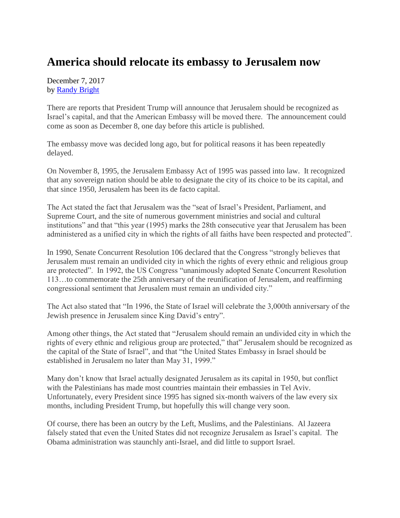## **America should relocate its embassy to Jerusalem now**

December 7, 2017 by [Randy Bright](http://tulsabeacon.com/writers/randy-bright/)

There are reports that President Trump will announce that Jerusalem should be recognized as Israel's capital, and that the American Embassy will be moved there. The announcement could come as soon as December 8, one day before this article is published.

The embassy move was decided long ago, but for political reasons it has been repeatedly delayed.

On November 8, 1995, the Jerusalem Embassy Act of 1995 was passed into law. It recognized that any sovereign nation should be able to designate the city of its choice to be its capital, and that since 1950, Jerusalem has been its de facto capital.

The Act stated the fact that Jerusalem was the "seat of Israel's President, Parliament, and Supreme Court, and the site of numerous government ministries and social and cultural institutions" and that "this year (1995) marks the 28th consecutive year that Jerusalem has been administered as a unified city in which the rights of all faiths have been respected and protected".

In 1990, Senate Concurrent Resolution 106 declared that the Congress "strongly believes that Jerusalem must remain an undivided city in which the rights of every ethnic and religious group are protected". In 1992, the US Congress "unanimously adopted Senate Concurrent Resolution 113…to commemorate the 25th anniversary of the reunification of Jerusalem, and reaffirming congressional sentiment that Jerusalem must remain an undivided city."

The Act also stated that "In 1996, the State of Israel will celebrate the 3,000th anniversary of the Jewish presence in Jerusalem since King David's entry".

Among other things, the Act stated that "Jerusalem should remain an undivided city in which the rights of every ethnic and religious group are protected," that" Jerusalem should be recognized as the capital of the State of Israel", and that "the United States Embassy in Israel should be established in Jerusalem no later than May 31, 1999."

Many don't know that Israel actually designated Jerusalem as its capital in 1950, but conflict with the Palestinians has made most countries maintain their embassies in Tel Aviv. Unfortunately, every President since 1995 has signed six-month waivers of the law every six months, including President Trump, but hopefully this will change very soon.

Of course, there has been an outcry by the Left, Muslims, and the Palestinians. Al Jazeera falsely stated that even the United States did not recognize Jerusalem as Israel's capital. The Obama administration was staunchly anti-Israel, and did little to support Israel.